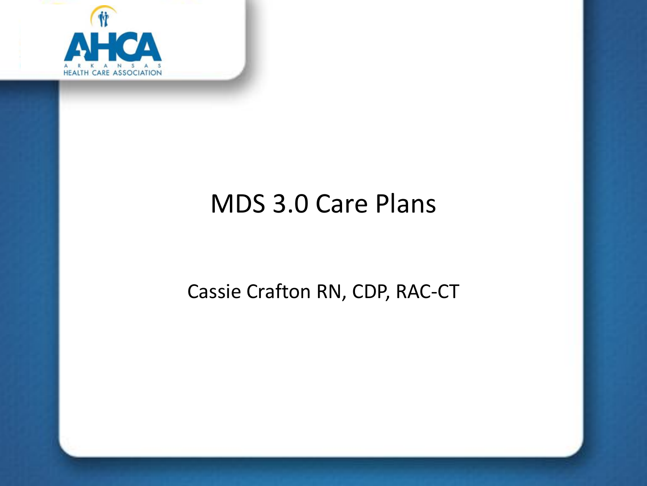

# MDS 3.0 Care Plans

#### Cassie Crafton RN, CDP, RAC-CT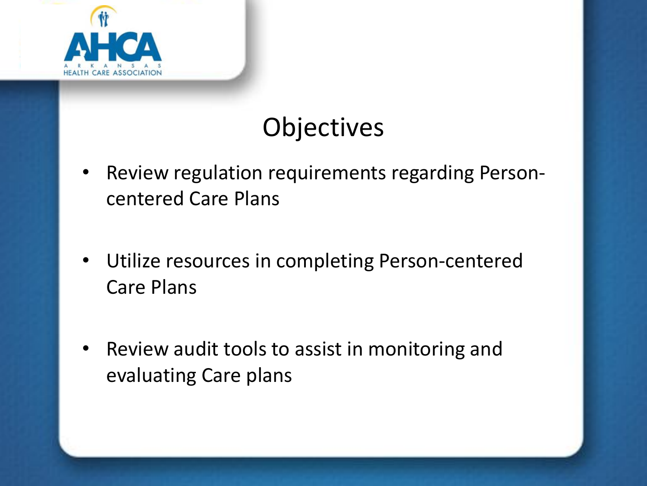

# **Objectives**

- Review regulation requirements regarding Personcentered Care Plans
- Utilize resources in completing Person-centered Care Plans
- Review audit tools to assist in monitoring and evaluating Care plans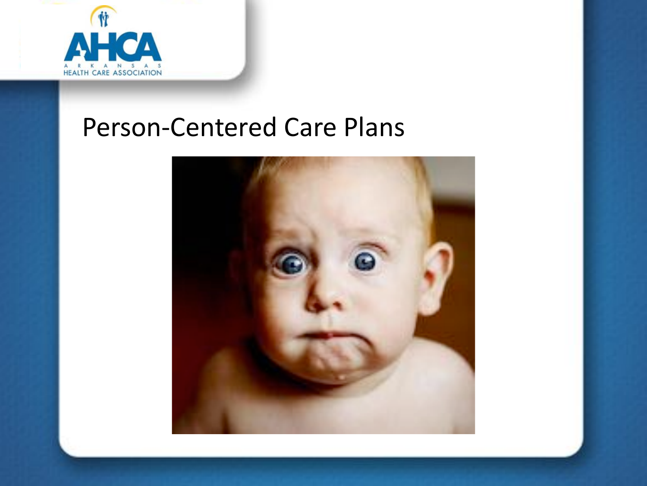

#### Person-Centered Care Plans

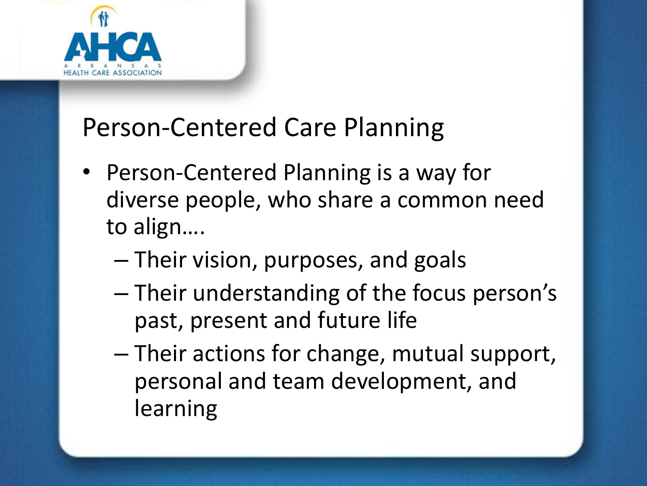

## Person-Centered Care Planning

- Person-Centered Planning is a way for diverse people, who share a common need to align….
	- Their vision, purposes, and goals
	- Their understanding of the focus person's past, present and future life
	- Their actions for change, mutual support, personal and team development, and learning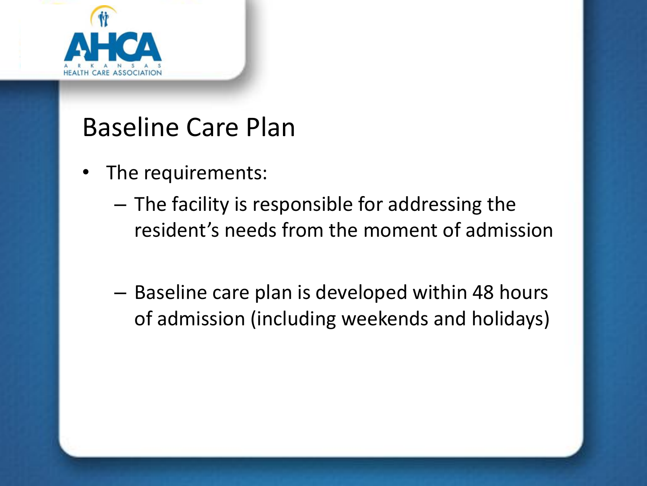

- The requirements:
	- The facility is responsible for addressing the resident's needs from the moment of admission
	- Baseline care plan is developed within 48 hours of admission (including weekends and holidays)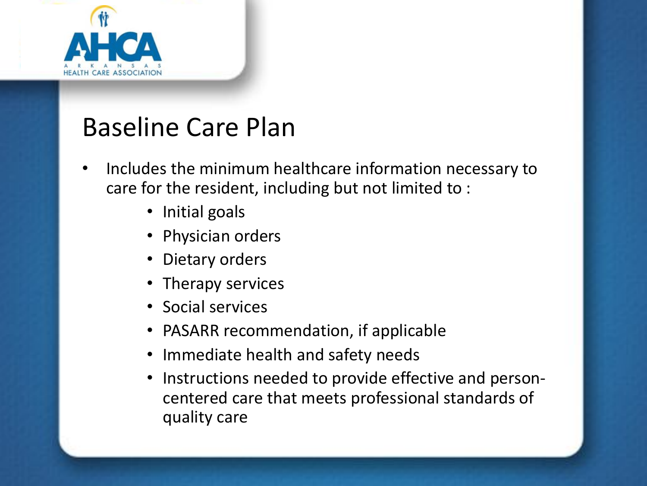

- Includes the minimum healthcare information necessary to care for the resident, including but not limited to :
	- Initial goals
	- Physician orders
	- Dietary orders
	- Therapy services
	- Social services
	- PASARR recommendation, if applicable
	- Immediate health and safety needs
	- Instructions needed to provide effective and personcentered care that meets professional standards of quality care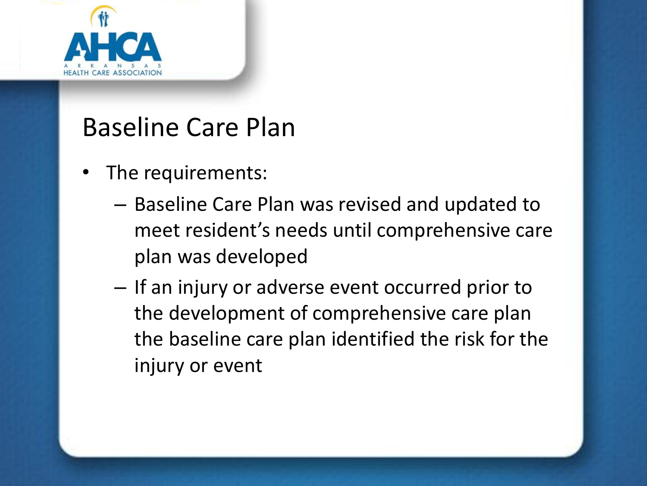

- The requirements:
	- Baseline Care Plan was revised and updated to meet resident's needs until comprehensive care plan was developed
	- If an injury or adverse event occurred prior to the development of comprehensive care plan the baseline care plan identified the risk for the injury or event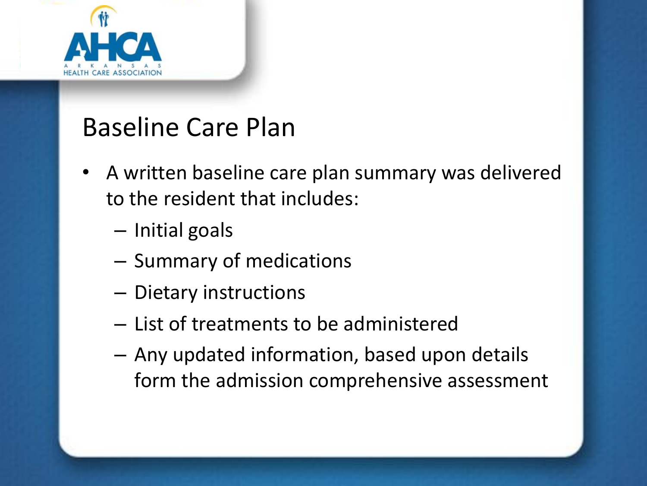

- A written baseline care plan summary was delivered to the resident that includes:
	- Initial goals
	- Summary of medications
	- Dietary instructions
	- List of treatments to be administered
	- Any updated information, based upon details form the admission comprehensive assessment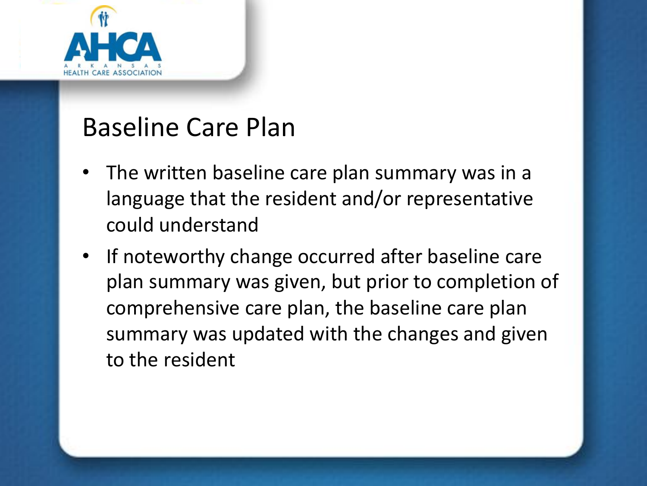

- The written baseline care plan summary was in a language that the resident and/or representative could understand
- If noteworthy change occurred after baseline care plan summary was given, but prior to completion of comprehensive care plan, the baseline care plan summary was updated with the changes and given to the resident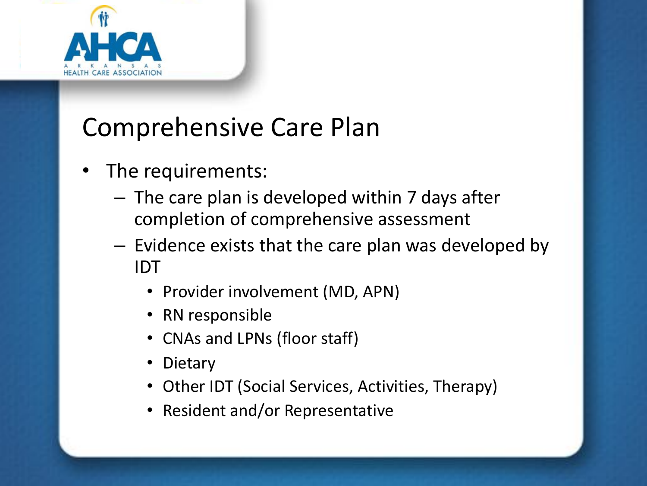

- The requirements:
	- The care plan is developed within 7 days after completion of comprehensive assessment
	- Evidence exists that the care plan was developed by IDT
		- Provider involvement (MD, APN)
		- RN responsible
		- CNAs and LPNs (floor staff)
		- **Dietary**
		- Other IDT (Social Services, Activities, Therapy)
		- Resident and/or Representative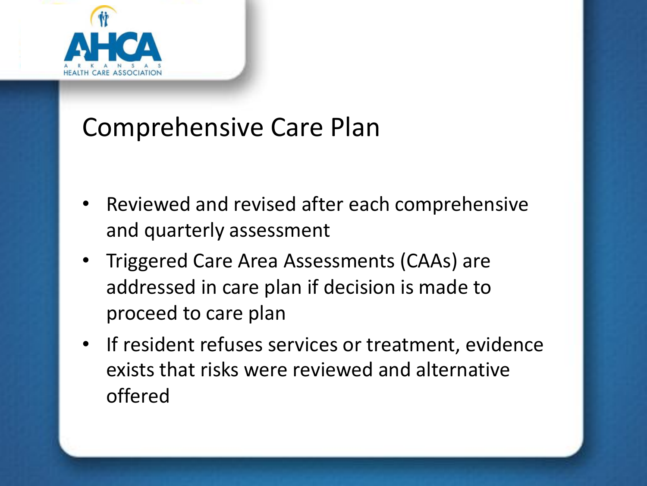

- Reviewed and revised after each comprehensive and quarterly assessment
- Triggered Care Area Assessments (CAAs) are addressed in care plan if decision is made to proceed to care plan
- If resident refuses services or treatment, evidence exists that risks were reviewed and alternative offered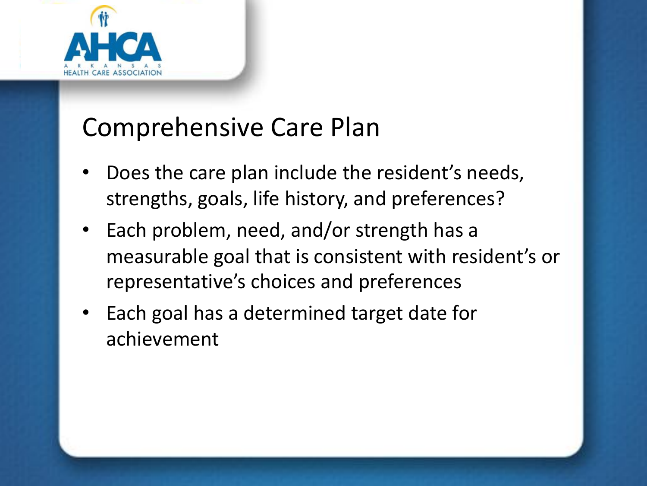

- Does the care plan include the resident's needs, strengths, goals, life history, and preferences?
- Each problem, need, and/or strength has a measurable goal that is consistent with resident's or representative's choices and preferences
- Each goal has a determined target date for achievement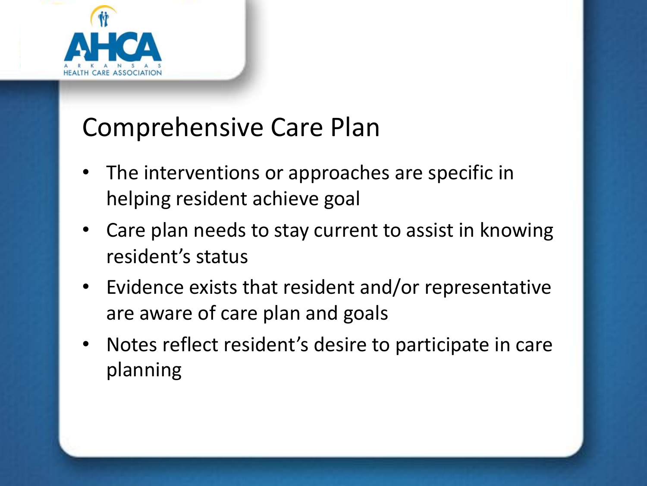

- The interventions or approaches are specific in helping resident achieve goal
- Care plan needs to stay current to assist in knowing resident's status
- Evidence exists that resident and/or representative are aware of care plan and goals
- Notes reflect resident's desire to participate in care planning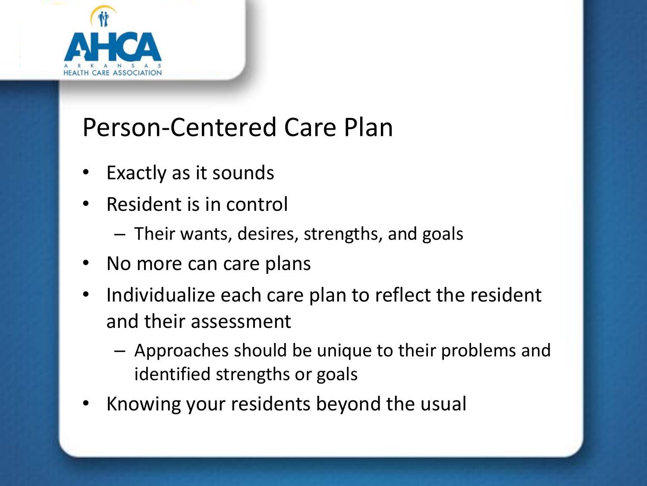

# Person-Centered Care Plan

- Exactly as it sounds
- Resident is in control
	- Their wants, desires, strengths, and goals
- No more can care plans
- Individualize each care plan to reflect the resident and their assessment
	- Approaches should be unique to their problems and identified strengths or goals
- Knowing your residents beyond the usual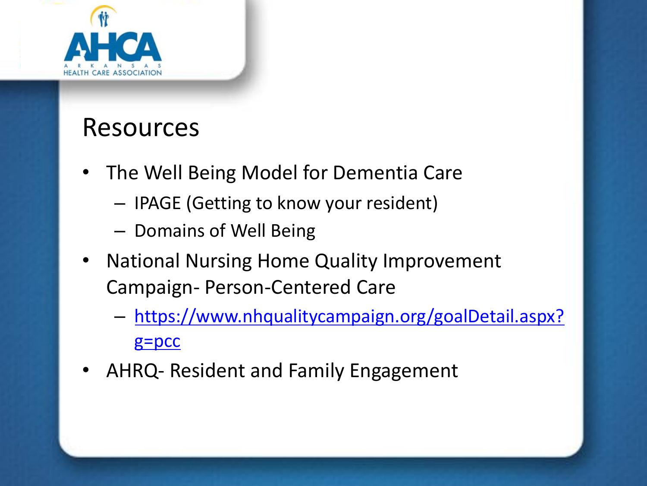

#### Resources

- The Well Being Model for Dementia Care
	- IPAGE (Getting to know your resident)
	- Domains of Well Being
- National Nursing Home Quality Improvement Campaign- Person-Centered Care
	- https://www.nhqualitycampaign.org/goalDetail.aspx? g=pcc
- AHRQ- Resident and Family Engagement